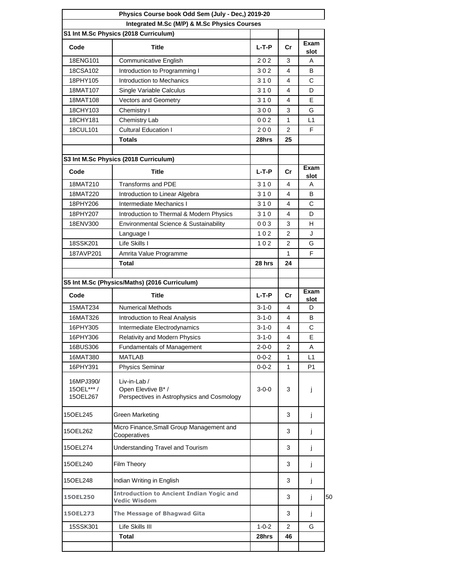|                                                | Physics Course book Odd Sem (July - Dec,) 2019-20                                |             |                |              |
|------------------------------------------------|----------------------------------------------------------------------------------|-------------|----------------|--------------|
|                                                | Integrated M.Sc (M/P) & M.Sc Physics Courses                                     |             |                |              |
| Code                                           | S1 Int M.Sc Physics (2018 Curriculum)<br>Title                                   | L-T-P       | Cr             | Exam<br>slot |
| 18ENG101                                       | <b>Communicative English</b>                                                     | 202         | 3              | Α            |
| 18CSA102                                       | Introduction to Programming I                                                    | 302         | 4              | B            |
| 18PHY105                                       | Introduction to Mechanics                                                        | 310         | 4              | C            |
| 18MAT107                                       | Single Variable Calculus                                                         | 310         | 4              | D            |
| 18MAT108                                       | <b>Vectors and Geometry</b>                                                      | 310         | 4              | Е            |
| 18CHY103                                       | Chemistry I                                                                      | 300         | 3              | G            |
| 18CHY181                                       | Chemistry Lab                                                                    | 002         | 1              | L1           |
| 18CUL101                                       | <b>Cultural Education I</b>                                                      | 200         | $\overline{2}$ | F            |
|                                                | <b>Totals</b>                                                                    | 28hrs       | 25             |              |
|                                                |                                                                                  |             |                |              |
|                                                | S3 Int M.Sc Physics (2018 Curriculum)                                            |             |                |              |
| Code                                           | Title                                                                            | L-T-P       | Cr             | Exam         |
| 18MAT210                                       | <b>Transforms and PDE</b>                                                        | 310         | 4              | slot<br>A    |
| 18MAT220                                       | Introduction to Linear Algebra                                                   | 310         | 4              | B            |
| 18PHY206                                       | Intermediate Mechanics I                                                         | 310         | 4              | C            |
| 18PHY207                                       | Introduction to Thermal & Modern Physics                                         | 310         | 4              | D            |
| 18ENV300                                       | Environmental Science & Sustainability                                           | 003         | 3              | н            |
|                                                |                                                                                  |             | 2              |              |
|                                                | Language I                                                                       | 102         |                | J            |
| 18SSK201                                       | Life Skills I                                                                    | 102         | $\overline{2}$ | G<br>F       |
| 187AVP201                                      | Amrita Value Programme                                                           |             | 1              |              |
|                                                | <b>Total</b>                                                                     | 28 hrs      | 24             |              |
|                                                |                                                                                  |             |                |              |
|                                                | S5 Int M.Sc (Physics/Maths) (2016 Curriculum)                                    |             |                | Exam         |
| Code                                           | Title                                                                            | L-T-P       | Cr             | slot         |
| 15MAT234                                       | <b>Numerical Methods</b>                                                         | $3 - 1 - 0$ | 4              | D            |
| 16MAT326                                       | Introduction to Real Analysis                                                    | $3 - 1 - 0$ | 4              | B            |
| 16PHY305                                       | Intermediate Electrodynamics                                                     | $3 - 1 - 0$ | 4              | C            |
| 16PHY306                                       | Relativity and Modern Physics                                                    | $3 - 1 - 0$ | 4              | Е            |
| 16BUS306                                       | <b>Fundamentals of Management</b>                                                | $2 - 0 - 0$ | 2              | A            |
| 16MAT380                                       | <b>MATLAB</b>                                                                    | $0 - 0 - 2$ | 1              | L1           |
| 16PHY391                                       | <b>Physics Seminar</b>                                                           | $0 - 0 - 2$ | 1              | P1           |
| 16MPJ390/<br>150EL***/<br>150EL267             | Liv-in-Lab /<br>Open Elevtive B* /<br>Perspectives in Astrophysics and Cosmology | $3 - 0 - 0$ | 3              | j            |
| 15OEL245                                       | Green Marketing                                                                  |             | 3              | j.           |
| 15OEL262                                       | Micro Finance, Small Group Management and<br>Cooperatives                        |             | 3              | Ť            |
| 15OEL274                                       | Understanding Travel and Tourism                                                 |             | 3              | Ť            |
| 15OEL240                                       | Film Theory                                                                      |             | 3              | Ť            |
|                                                |                                                                                  |             | 3              | j            |
|                                                | Indian Writing in English                                                        |             |                |              |
|                                                | <b>Introduction to Ancient Indian Yogic and</b><br><b>Vedic Wisdom</b>           |             | 3              | j            |
| 150EL248<br><b>150EL250</b><br><b>150EL273</b> | The Message of Bhagwad Gita                                                      |             | 3              | Ť            |
| 15SSK301                                       | Life Skills III                                                                  | $1 - 0 - 2$ | 2              | G            |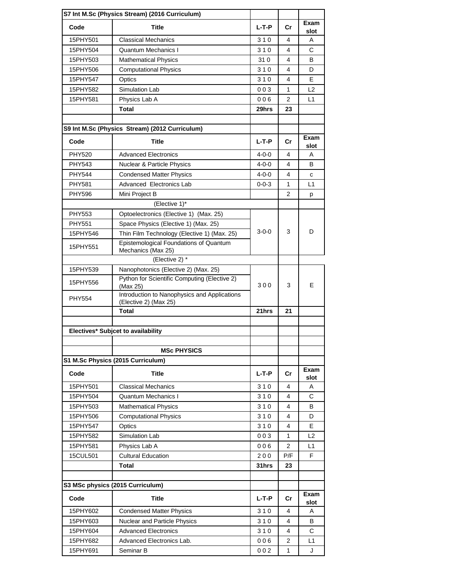| S7 Int M.Sc (Physics Stream) (2016 Curriculum) |                                                                       |             |                |              |
|------------------------------------------------|-----------------------------------------------------------------------|-------------|----------------|--------------|
| Code                                           | <b>Title</b>                                                          | L-T-P       | Cr             | Exam<br>slot |
| 15PHY501                                       | <b>Classical Mechanics</b>                                            | 310         | 4              | A            |
| 15PHY504                                       | <b>Quantum Mechanics I</b>                                            | 310         | 4              | С            |
| 15PHY503                                       | <b>Mathematical Physics</b>                                           | 310         | 4              | B            |
| 15PHY506                                       | <b>Computational Physics</b>                                          | 310         | 4              | D            |
| 15PHY547                                       | Optics                                                                | 310         | 4              | Е            |
| 15PHY582                                       | Simulation Lab                                                        | 003         | 1              | L2           |
| 15PHY581                                       | Physics Lab A                                                         | 006         | 2              | L1           |
|                                                | <b>Total</b>                                                          | 29hrs       | 23             |              |
|                                                | S9 Int M.Sc (Physics Stream) (2012 Curriculum)                        |             |                |              |
| Code                                           | <b>Title</b>                                                          | L-T-P       | Cr             | Exam<br>slot |
| <b>PHY520</b>                                  | <b>Advanced Electronics</b>                                           | $4 - 0 - 0$ | 4              | Α            |
| <b>PHY543</b>                                  | Nuclear & Particle Physics                                            | $4 - 0 - 0$ | 4              | B            |
| <b>PHY544</b>                                  | <b>Condensed Matter Physics</b>                                       | 4-0-0       | 4              | с            |
| <b>PHY581</b>                                  | <b>Advanced Electronics Lab</b>                                       | $0 - 0 - 3$ | 1              | L1           |
| <b>PHY596</b>                                  | Mini Project B                                                        |             | $\overline{2}$ | p            |
|                                                | (Elective 1)*                                                         |             |                |              |
| <b>PHY553</b>                                  | Optoelectronics (Elective 1) (Max. 25)                                |             |                | D            |
| PHY551                                         | Space Physics (Elective 1) (Max. 25)                                  |             |                |              |
| 15PHY546                                       | Thin Film Technology (Elective 1) (Max. 25)                           | $3 - 0 - 0$ | 3              |              |
| 15PHY551                                       | Epistemological Foundations of Quantum<br>Mechanics (Max 25)          |             |                |              |
|                                                | (Elective 2) *                                                        |             |                |              |
| 15PHY539                                       | Nanophotonics (Elective 2) (Max. 25)                                  |             |                |              |
| 15PHY556                                       | Python for Scientific Computing (Elective 2)                          | 300         | 3              | Е            |
|                                                | (Max 25)                                                              |             |                |              |
| <b>PHY554</b>                                  | Introduction to Nanophysics and Applications<br>(Elective 2) (Max 25) |             |                |              |
|                                                | <b>Total</b>                                                          | 21hrs       | 21             |              |
|                                                |                                                                       |             |                |              |
|                                                | Electives* Subjcet to availability                                    |             |                |              |
|                                                |                                                                       |             |                |              |
|                                                | <b>MSc PHYSICS</b>                                                    |             |                |              |
| Code                                           | S1 M.Sc Physics (2015 Curriculum)<br><b>Title</b>                     | $L-T-P$     | Cr             | Exam         |
| 15PHY501                                       | <b>Classical Mechanics</b>                                            | 310         | 4              | slot<br>Α    |
| 15PHY504                                       | <b>Quantum Mechanics I</b>                                            | 310         | 4              | С            |
| 15PHY503                                       | <b>Mathematical Physics</b>                                           | 310         | 4              | B            |
| 15PHY506                                       | <b>Computational Physics</b>                                          | 310         | 4              | D            |
| 15PHY547                                       | Optics                                                                | 310         | 4              | E            |
| 15PHY582                                       | Simulation Lab                                                        | 003         | 1              | L2           |
| 15PHY581                                       | Physics Lab A                                                         | 006         | 2              | L1           |
| 15CUL501                                       | <b>Cultural Education</b>                                             | 200         | P/F            | F            |
|                                                | Total                                                                 | 31hrs       | 23             |              |
|                                                |                                                                       |             |                |              |
|                                                | S3 MSc physics (2015 Curriculum)                                      |             |                |              |
| Code                                           | <b>Title</b>                                                          | $L-T-P$     | Cr             | Exam<br>slot |
| 15PHY602                                       | <b>Condensed Matter Physics</b>                                       | 310         | 4              | A            |
| 15PHY603                                       | Nuclear and Particle Physics                                          | 310         | 4              | B            |
| 15PHY604                                       | <b>Advanced Electronics</b>                                           | 310         | 4              | C            |
| 15PHY682                                       | Advanced Electronics Lab.                                             | 006         | $\overline{2}$ | L1           |